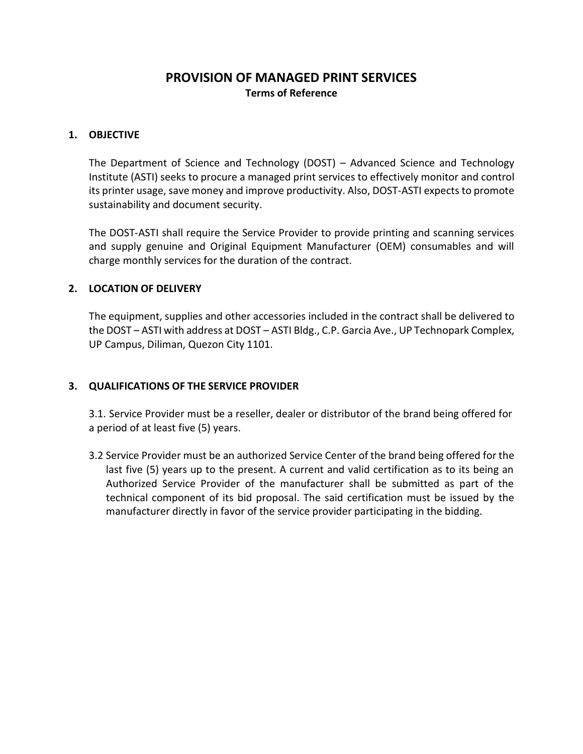# **PROVISION OF MANAGED PRINT SERVICES Terms of Reference**

## **1. OBJECTIVE**

The Department of Science and Technology (DOST) – Advanced Science and Technology Institute (ASTI) seeks to procure a managed print services to effectively monitor and control its printer usage, save money and improve productivity. Also, DOST-ASTI expects to promote sustainability and document security.

The DOST-ASTI shall require the Service Provider to provide printing and scanning services and supply genuine and Original Equipment Manufacturer (OEM) consumables and will charge monthly services for the duration of the contract.

#### **2. LOCATION OF DELIVERY**

The equipment, supplies and other accessories included in the contract shall be delivered to the DOST – ASTI with address at DOST – ASTI Bldg., C.P. Garcia Ave., UP Technopark Complex, UP Campus, Diliman, Quezon City 1101.

#### **3. QUALIFICATIONS OF THE SERVICE PROVIDER**

3.1. Service Provider must be a reseller, dealer or distributor of the brand being offered for a period of at least five (5) years.

3.2 Service Provider must be an authorized Service Center of the brand being offered for the last five (5) years up to the present. A current and valid certification as to its being an Authorized Service Provider of the manufacturer shall be submitted as part of the technical component of its bid proposal. The said certification must be issued by the manufacturer directly in favor of the service provider participating in the bidding.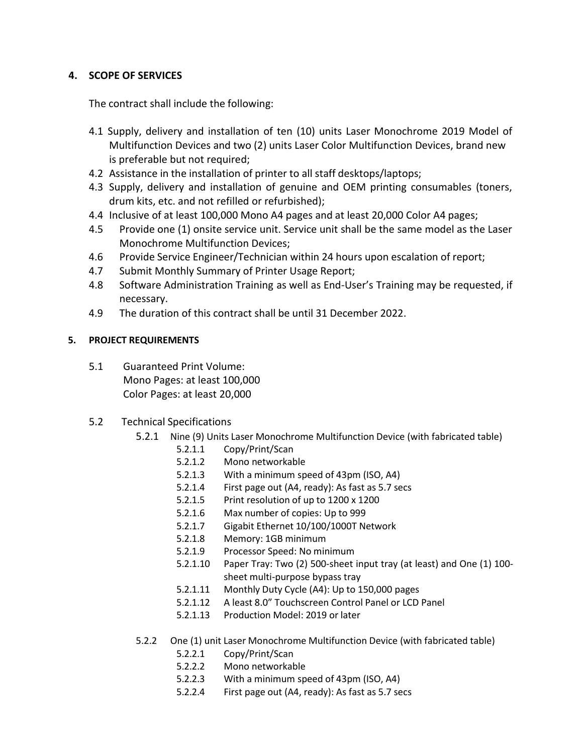## **4. SCOPE OF SERVICES**

The contract shall include the following:

- 4.1 Supply, delivery and installation of ten (10) units Laser Monochrome 2019 Model of Multifunction Devices and two (2) units Laser Color Multifunction Devices, brand new is preferable but not required;
- 4.2 Assistance in the installation of printer to all staff desktops/laptops;
- 4.3 Supply, delivery and installation of genuine and OEM printing consumables (toners, drum kits, etc. and not refilled or refurbished);
- 4.4 Inclusive of at least 100,000 Mono A4 pages and at least 20,000 Color A4 pages;
- 4.5 Provide one (1) onsite service unit. Service unit shall be the same model as the Laser Monochrome Multifunction Devices;
- 4.6 Provide Service Engineer/Technician within 24 hours upon escalation of report;
- 4.7 Submit Monthly Summary of Printer Usage Report;
- 4.8 Software Administration Training as well as End-User's Training may be requested, if necessary.
- 4.9 The duration of this contract shall be until 31 December 2022.

# **5. PROJECT REQUIREMENTS**

- 5.1 Guaranteed Print Volume: Mono Pages: at least 100,000 Color Pages: at least 20,000
- 5.2 Technical Specifications
	- 5.2.1 Nine (9) Units Laser Monochrome Multifunction Device (with fabricated table)
		- 5.2.1.1 Copy/Print/Scan
		- 5.2.1.2 Mono networkable
		- 5.2.1.3 With a minimum speed of 43pm (ISO, A4)
		- 5.2.1.4 First page out (A4, ready): As fast as 5.7 secs
		- 5.2.1.5 Print resolution of up to 1200 x 1200
		- 5.2.1.6 Max number of copies: Up to 999
		- 5.2.1.7 Gigabit Ethernet 10/100/1000T Network
		- 5.2.1.8 Memory: 1GB minimum
		- 5.2.1.9 Processor Speed: No minimum
		- 5.2.1.10 Paper Tray: Two (2) 500-sheet input tray (at least) and One (1) 100 sheet multi-purpose bypass tray
		- 5.2.1.11 Monthly Duty Cycle (A4): Up to 150,000 pages
		- 5.2.1.12 A least 8.0" Touchscreen Control Panel or LCD Panel
		- 5.2.1.13 Production Model: 2019 or later
	- 5.2.2 One (1) unit Laser Monochrome Multifunction Device (with fabricated table)
		- 5.2.2.1 Copy/Print/Scan
		- 5.2.2.2 Mono networkable
		- 5.2.2.3 With a minimum speed of 43pm (ISO, A4)
		- 5.2.2.4 First page out (A4, ready): As fast as 5.7 secs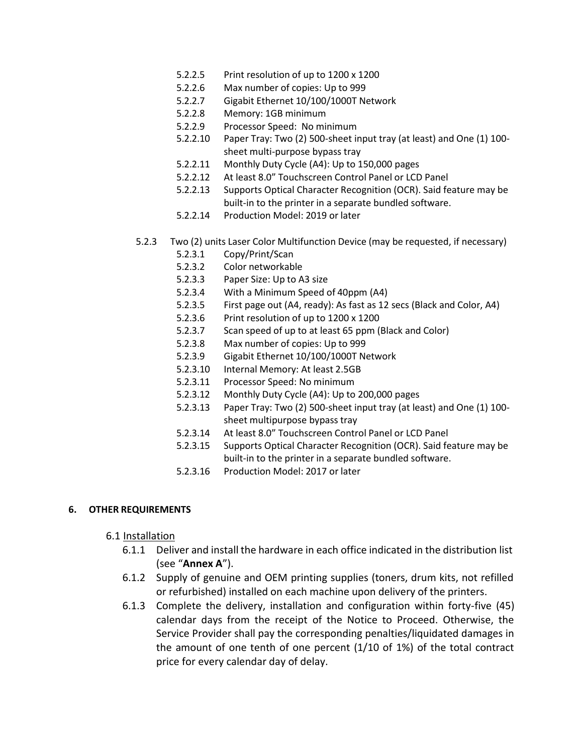- 5.2.2.5 Print resolution of up to 1200 x 1200
- 5.2.2.6 Max number of copies: Up to 999
- 5.2.2.7 Gigabit Ethernet 10/100/1000T Network
- 5.2.2.8 Memory: 1GB minimum
- 5.2.2.9 Processor Speed: No minimum
- 5.2.2.10 Paper Tray: Two (2) 500-sheet input tray (at least) and One (1) 100 sheet multi-purpose bypass tray
- 5.2.2.11 Monthly Duty Cycle (A4): Up to 150,000 pages
- 5.2.2.12 At least 8.0" Touchscreen Control Panel or LCD Panel
- 5.2.2.13 Supports Optical Character Recognition (OCR). Said feature may be built-in to the printer in a separate bundled software.
- 5.2.2.14 Production Model: 2019 or later
- 5.2.3 Two (2) units Laser Color Multifunction Device (may be requested, if necessary)
	- 5.2.3.1 Copy/Print/Scan
	- 5.2.3.2 Color networkable
	- 5.2.3.3 Paper Size: Up to A3 size
	- 5.2.3.4 With a Minimum Speed of 40ppm (A4)
	- 5.2.3.5 First page out (A4, ready): As fast as 12 secs (Black and Color, A4)
	- 5.2.3.6 Print resolution of up to 1200 x 1200
	- 5.2.3.7 Scan speed of up to at least 65 ppm (Black and Color)
	- 5.2.3.8 Max number of copies: Up to 999
	- 5.2.3.9 Gigabit Ethernet 10/100/1000T Network
	- 5.2.3.10 Internal Memory: At least 2.5GB
	- 5.2.3.11 Processor Speed: No minimum
	- 5.2.3.12 Monthly Duty Cycle (A4): Up to 200,000 pages
	- 5.2.3.13 Paper Tray: Two (2) 500-sheet input tray (at least) and One (1) 100 sheet multipurpose bypass tray
	- 5.2.3.14 At least 8.0" Touchscreen Control Panel or LCD Panel
	- 5.2.3.15 Supports Optical Character Recognition (OCR). Said feature may be built-in to the printer in a separate bundled software.
	- 5.2.3.16 Production Model: 2017 or later

#### **6. OTHER REQUIREMENTS**

#### 6.1 Installation

- 6.1.1 Deliver and install the hardware in each office indicated in the distribution list (see "**Annex A**").
- 6.1.2 Supply of genuine and OEM printing supplies (toners, drum kits, not refilled or refurbished) installed on each machine upon delivery of the printers.
- 6.1.3 Complete the delivery, installation and configuration within forty-five (45) calendar days from the receipt of the Notice to Proceed. Otherwise, the Service Provider shall pay the corresponding penalties/liquidated damages in the amount of one tenth of one percent (1/10 of 1%) of the total contract price for every calendar day of delay.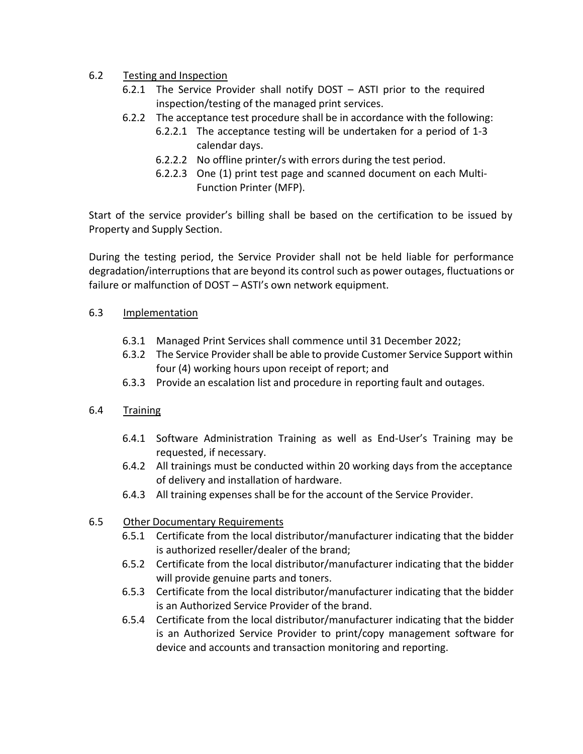# 6.2 Testing and Inspection

- 6.2.1 The Service Provider shall notify DOST ASTI prior to the required inspection/testing of the managed print services.
- 6.2.2 The acceptance test procedure shall be in accordance with the following:
	- 6.2.2.1 The acceptance testing will be undertaken for a period of 1-3 calendar days.
	- 6.2.2.2 No offline printer/s with errors during the test period.
	- 6.2.2.3 One (1) print test page and scanned document on each Multi-Function Printer (MFP).

Start of the service provider's billing shall be based on the certification to be issued by Property and Supply Section.

During the testing period, the Service Provider shall not be held liable for performance degradation/interruptions that are beyond its control such as power outages, fluctuations or failure or malfunction of DOST - ASTI's own network equipment.

# 6.3 Implementation

- 6.3.1 Managed Print Services shall commence until 31 December 2022;
- 6.3.2 The Service Provider shall be able to provide Customer Service Support within four (4) working hours upon receipt of report; and
- 6.3.3 Provide an escalation list and procedure in reporting fault and outages.

# 6.4 Training

- 6.4.1 Software Administration Training as well as End-User's Training may be requested, if necessary.
- 6.4.2 All trainings must be conducted within 20 working days from the acceptance of delivery and installation of hardware.
- 6.4.3 All training expenses shall be for the account of the Service Provider.

# 6.5 Other Documentary Requirements

- 6.5.1 Certificate from the local distributor/manufacturer indicating that the bidder is authorized reseller/dealer of the brand;
- 6.5.2 Certificate from the local distributor/manufacturer indicating that the bidder will provide genuine parts and toners.
- 6.5.3 Certificate from the local distributor/manufacturer indicating that the bidder is an Authorized Service Provider of the brand.
- 6.5.4 Certificate from the local distributor/manufacturer indicating that the bidder is an Authorized Service Provider to print/copy management software for device and accounts and transaction monitoring and reporting.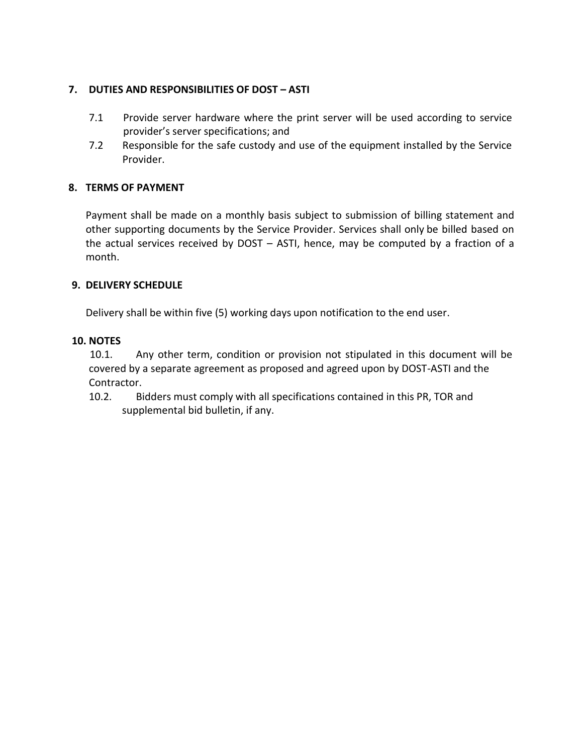## **7. DUTIES AND RESPONSIBILITIES OF DOST – ASTI**

- 7.1 Provide server hardware where the print server will be used according to service provider's server specifications; and
- 7.2 Responsible for the safe custody and use of the equipment installed by the Service Provider.

## **8. TERMS OF PAYMENT**

Payment shall be made on a monthly basis subject to submission of billing statement and other supporting documents by the Service Provider. Services shall only be billed based on the actual services received by DOST – ASTI, hence, may be computed by a fraction of a month.

## **9. DELIVERY SCHEDULE**

Delivery shall be within five (5) working days upon notification to the end user.

## **10. NOTES**

10.1. Any other term, condition or provision not stipulated in this document will be covered by a separate agreement as proposed and agreed upon by DOST-ASTI and the Contractor.

10.2. Bidders must comply with all specifications contained in this PR, TOR and supplemental bid bulletin, if any.